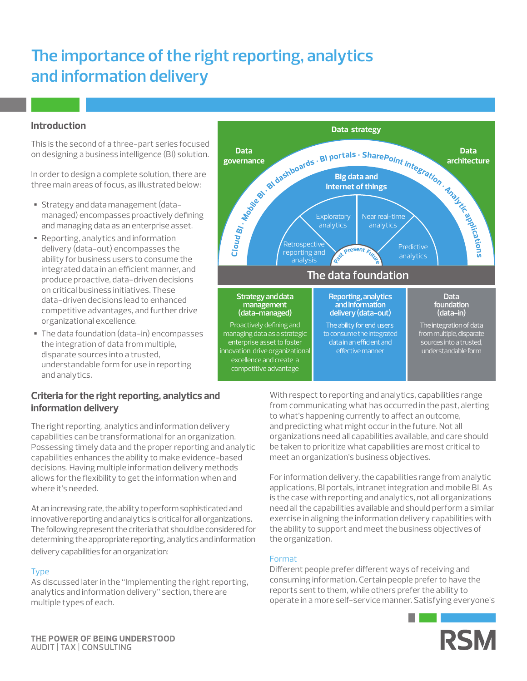# **The importance of the right reporting, analytics and information delivery**

# **Introduction**

This is the second of a three-part series focused on designing a business intelligence (BI) solution.

In order to design a complete solution, there are three main areas of focus, as illustrated below:

- Strategy and data management (datamanaged) encompasses proactively defining and managing data as an enterprise asset.
- Reporting, analytics and information delivery (data-out) encompasses the ability for business users to consume the integrated data in an efficient manner, and produce proactive, data-driven decisions on critical business initiatives. These data-driven decisions lead to enhanced competitive advantages, and further drive organizational excellence.
- The data foundation (data-in) encompasses the integration of data from multiple, disparate sources into a trusted, understandable form for use in reporting and analytics.

# **Criteria for the right reporting, analytics and information delivery**

The right reporting, analytics and information delivery capabilities can be transformational for an organization. Possessing timely data and the proper reporting and analytic capabilities enhances the ability to make evidence-based decisions. Having multiple information delivery methods allows for the flexibility to get the information when and where it's needed.

At an increasing rate, the ability to perform sophisticated and innovative reporting and analytics is critical for all organizations. The following represent the criteria that should be considered for determining the appropriate reporting, analytics and information delivery capabilities for an organization:

## Type

As discussed later in the "Implementing the right reporting, analytics and information delivery" section, there are multiple types of each.



With respect to reporting and analytics, capabilities range from communicating what has occurred in the past, alerting to what's happening currently to affect an outcome, and predicting what might occur in the future. Not all organizations need all capabilities available, and care should be taken to prioritize what capabilities are most critical to meet an organization's business objectives.

For information delivery, the capabilities range from analytic applications, BI portals, intranet integration and mobile BI. As is the case with reporting and analytics, not all organizations need all the capabilities available and should perform a similar exercise in aligning the information delivery capabilities with the ability to support and meet the business objectives of the organization.

## Format

Different people prefer different ways of receiving and consuming information. Certain people prefer to have the reports sent to them, while others prefer the ability to operate in a more self-service manner. Satisfying everyone's

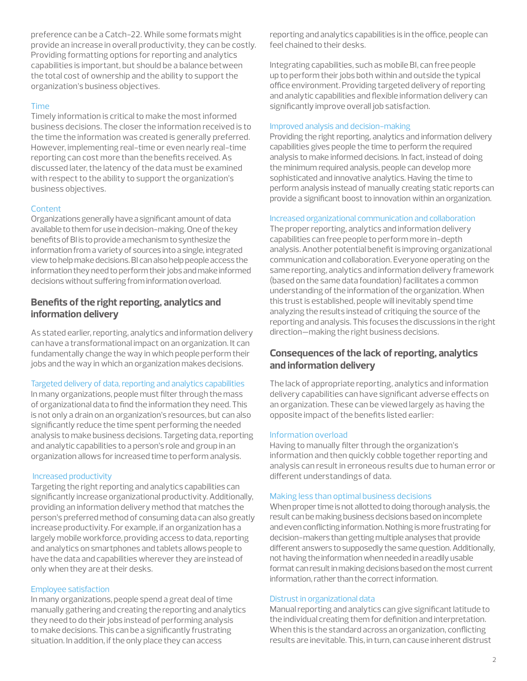preference can be a Catch-22. While some formats might provide an increase in overall productivity, they can be costly. Providing formatting options for reporting and analytics capabilities is important, but should be a balance between the total cost of ownership and the ability to support the organization's business objectives.

### Time

Timely information is critical to make the most informed business decisions. The closer the information received is to the time the information was created is generally preferred. However, implementing real-time or even nearly real-time reporting can cost more than the benefits received. As discussed later, the latency of the data must be examined with respect to the ability to support the organization's business objectives.

## Content

Organizations generally have a significant amount of data available to them for use in decision-making. One of the key benefits of BI is to provide a mechanism to synthesize the information from a variety of sources into a single, integrated view to help make decisions. BI can also help people access the information they need to perform their jobs and make informed decisions without suffering from information overload.

# **Benefits of the right reporting, analytics and information delivery**

As stated earlier, reporting, analytics and information delivery can have a transformational impact on an organization. It can fundamentally change the way in which people perform their jobs and the way in which an organization makes decisions.

## Targeted delivery of data, reporting and analytics capabilities

In many organizations, people must filter through the mass of organizational data to find the information they need. This is not only a drain on an organization's resources, but can also significantly reduce the time spent performing the needed analysis to make business decisions. Targeting data, reporting and analytic capabilities to a person's role and group in an organization allows for increased time to perform analysis.

#### Increased productivity

Targeting the right reporting and analytics capabilities can significantly increase organizational productivity. Additionally, providing an information delivery method that matches the person's preferred method of consuming data can also greatly increase productivity. For example, if an organization has a largely mobile workforce, providing access to data, reporting and analytics on smartphones and tablets allows people to have the data and capabilities wherever they are instead of only when they are at their desks.

#### Employee satisfaction

In many organizations, people spend a great deal of time manually gathering and creating the reporting and analytics they need to do their jobs instead of performing analysis to make decisions. This can be a significantly frustrating situation. In addition, if the only place they can access

reporting and analytics capabilities is in the office, people can feel chained to their desks.

Integrating capabilities, such as mobile BI, can free people up to perform their jobs both within and outside the typical office environment. Providing targeted delivery of reporting and analytic capabilities and flexible information delivery can significantly improve overall job satisfaction.

## Improved analysis and decision-making

Providing the right reporting, analytics and information delivery capabilities gives people the time to perform the required analysis to make informed decisions. In fact, instead of doing the minimum required analysis, people can develop more sophisticated and innovative analytics. Having the time to perform analysis instead of manually creating static reports can provide a significant boost to innovation within an organization.

### Increased organizational communication and collaboration

The proper reporting, analytics and information delivery capabilities can free people to perform more in-depth analysis. Another potential benefit is improving organizational communication and collaboration. Everyone operating on the same reporting, analytics and information delivery framework (based on the same data foundation) facilitates a common understanding of the information of the organization. When this trust is established, people will inevitably spend time analyzing the results instead of critiquing the source of the reporting and analysis. This focuses the discussions in the right direction—making the right business decisions.

# **Consequences of the lack of reporting, analytics and information delivery**

The lack of appropriate reporting, analytics and information delivery capabilities can have significant adverse effects on an organization. These can be viewed largely as having the opposite impact of the benefits listed earlier:

#### Information overload

Having to manually filter through the organization's information and then quickly cobble together reporting and analysis can result in erroneous results due to human error or different understandings of data.

#### Making less than optimal business decisions

When proper time is not allotted to doing thorough analysis, the result can be making business decisions based on incomplete and even conflicting information. Nothing is more frustrating for decision-makers than getting multiple analyses that provide different answers to supposedly the same question. Additionally, not having the information when needed in a readily usable format can result in making decisions based on the most current information, rather than the correct information.

#### Distrust in organizational data

Manual reporting and analytics can give significant latitude to the individual creating them for definition and interpretation. When this is the standard across an organization, conflicting results are inevitable. This, in turn, can cause inherent distrust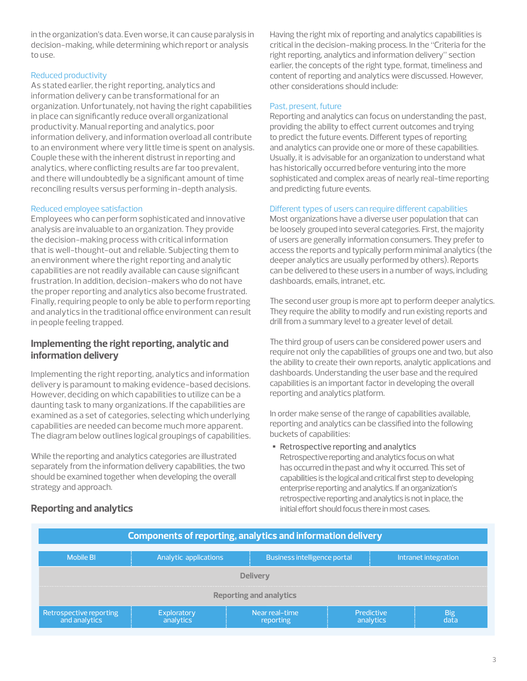in the organization's data. Even worse, it can cause paralysis in decision-making, while determining which report or analysis to use.

## Reduced productivity

As stated earlier, the right reporting, analytics and information delivery can be transformational for an organization. Unfortunately, not having the right capabilities in place can significantly reduce overall organizational productivity. Manual reporting and analytics, poor information delivery, and information overload all contribute to an environment where very little time is spent on analysis. Couple these with the inherent distrust in reporting and analytics, where conflicting results are far too prevalent, and there will undoubtedly be a significant amount of time reconciling results versus performing in-depth analysis.

## Reduced employee satisfaction

Employees who can perform sophisticated and innovative analysis are invaluable to an organization. They provide the decision-making process with critical information that is well-thought-out and reliable. Subjecting them to an environment where the right reporting and analytic capabilities are not readily available can cause significant frustration. In addition, decision-makers who do not have the proper reporting and analytics also become frustrated. Finally, requiring people to only be able to perform reporting and analytics in the traditional office environment can result in people feeling trapped.

# **Implementing the right reporting, analytic and information delivery**

Implementing the right reporting, analytics and information delivery is paramount to making evidence-based decisions. However, deciding on which capabilities to utilize can be a daunting task to many organizations. If the capabilities are examined as a set of categories, selecting which underlying capabilities are needed can become much more apparent. The diagram below outlines logical groupings of capabilities.

While the reporting and analytics categories are illustrated separately from the information delivery capabilities, the two should be examined together when developing the overall strategy and approach.

Having the right mix of reporting and analytics capabilities is critical in the decision-making process. In the "Criteria for the right reporting, analytics and information delivery" section earlier, the concepts of the right type, format, timeliness and content of reporting and analytics were discussed. However, other considerations should include:

### Past, present, future

Reporting and analytics can focus on understanding the past, providing the ability to effect current outcomes and trying to predict the future events. Different types of reporting and analytics can provide one or more of these capabilities. Usually, it is advisable for an organization to understand what has historically occurred before venturing into the more sophisticated and complex areas of nearly real-time reporting and predicting future events.

### Different types of users can require different capabilities

Most organizations have a diverse user population that can be loosely grouped into several categories. First, the majority of users are generally information consumers. They prefer to access the reports and typically perform minimal analytics (the deeper analytics are usually performed by others). Reports can be delivered to these users in a number of ways, including dashboards, emails, intranet, etc.

The second user group is more apt to perform deeper analytics. They require the ability to modify and run existing reports and drill from a summary level to a greater level of detail.

The third group of users can be considered power users and require not only the capabilities of groups one and two, but also the ability to create their own reports, analytic applications and dashboards. Understanding the user base and the required capabilities is an important factor in developing the overall reporting and analytics platform.

In order make sense of the range of capabilities available, reporting and analytics can be classified into the following buckets of capabilities:

• Retrospective reporting and analytics Retrospective reporting and analytics focus on what has occurred in the past and why it occurred. This set of capabilities is the logical and critical first step to developing enterprise reporting and analytics. If an organization's retrospective reporting and analytics is not in place, the initial effort should focus there in most cases.

| <b>Components of reporting, analytics and information delivery</b> |                          |                                     |                         |                      |  |
|--------------------------------------------------------------------|--------------------------|-------------------------------------|-------------------------|----------------------|--|
| <b>Mobile BI</b>                                                   | Analytic applications    | <b>Business intelligence portal</b> |                         | Intranet integration |  |
| <b>Delivery</b>                                                    |                          |                                     |                         |                      |  |
| <b>Reporting and analytics</b>                                     |                          |                                     |                         |                      |  |
| Retrospective reporting<br>and analytics                           | Exploratory<br>analytics | Near real-time<br>reporting         | Predictive<br>analytics | <b>Big</b><br>data   |  |

# **Reporting and analytics**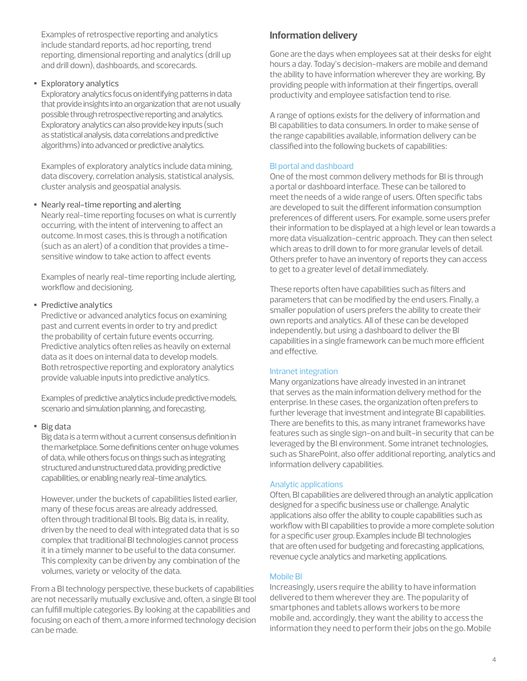Examples of retrospective reporting and analytics include standard reports, ad hoc reporting, trend reporting, dimensional reporting and analytics (drill up and drill down), dashboards, and scorecards.

## • Exploratory analytics

Exploratory analytics focus on identifying patterns in data that provide insights into an organization that are not usually possible through retrospective reporting and analytics. Exploratory analytics can also provide key inputs (such as statistical analysis, data correlations and predictive algorithms) into advanced or predictive analytics.

Examples of exploratory analytics include data mining, data discovery, correlation analysis, statistical analysis, cluster analysis and geospatial analysis.

• Nearly real-time reporting and alerting

Nearly real-time reporting focuses on what is currently occurring, with the intent of intervening to affect an outcome. In most cases, this is through a notification (such as an alert) of a condition that provides a timesensitive window to take action to affect events

Examples of nearly real-time reporting include alerting, workflow and decisioning.

## • Predictive analytics

Predictive or advanced analytics focus on examining past and current events in order to try and predict the probability of certain future events occurring. Predictive analytics often relies as heavily on external data as it does on internal data to develop models. Both retrospective reporting and exploratory analytics provide valuable inputs into predictive analytics.

Examples of predictive analytics include predictive models, scenario and simulation planning, and forecasting.

#### • Big data

Big data is a term without a current consensus definition in the marketplace. Some definitions center on huge volumes of data, while others focus on things such as integrating structured and unstructured data, providing predictive capabilities, or enabling nearly real-time analytics.

However, under the buckets of capabilities listed earlier, many of these focus areas are already addressed, often through traditional BI tools. Big data is, in reality, driven by the need to deal with integrated data that is so complex that traditional BI technologies cannot process it in a timely manner to be useful to the data consumer. This complexity can be driven by any combination of the volumes, variety or velocity of the data.

From a BI technology perspective, these buckets of capabilities are not necessarily mutually exclusive and, often, a single BI tool can fulfill multiple categories. By looking at the capabilities and focusing on each of them, a more informed technology decision can be made.

# **Information delivery**

Gone are the days when employees sat at their desks for eight hours a day. Today's decision-makers are mobile and demand the ability to have information wherever they are working. By providing people with information at their fingertips, overall productivity and employee satisfaction tend to rise.

A range of options exists for the delivery of information and BI capabilities to data consumers. In order to make sense of the range capabilities available, information delivery can be classified into the following buckets of capabilities:

## BI portal and dashboard

One of the most common delivery methods for BI is through a portal or dashboard interface. These can be tailored to meet the needs of a wide range of users. Often specific tabs are developed to suit the different information consumption preferences of different users. For example, some users prefer their information to be displayed at a high level or lean towards a more data visualization-centric approach. They can then select which areas to drill down to for more granular levels of detail. Others prefer to have an inventory of reports they can access to get to a greater level of detail immediately.

These reports often have capabilities such as filters and parameters that can be modified by the end users. Finally, a smaller population of users prefers the ability to create their own reports and analytics. All of these can be developed independently, but using a dashboard to deliver the BI capabilities in a single framework can be much more efficient and effective.

#### Intranet integration

Many organizations have already invested in an intranet that serves as the main information delivery method for the enterprise. In these cases, the organization often prefers to further leverage that investment and integrate BI capabilities. There are benefits to this, as many intranet frameworks have features such as single sign-on and built-in security that can be leveraged by the BI environment. Some intranet technologies, such as SharePoint, also offer additional reporting, analytics and information delivery capabilities.

#### Analytic applications

Often, BI capabilities are delivered through an analytic application designed for a specific business use or challenge. Analytic applications also offer the ability to couple capabilities such as workflow with BI capabilities to provide a more complete solution for a specific user group. Examples include BI technologies that are often used for budgeting and forecasting applications, revenue cycle analytics and marketing applications.

#### Mobile BI

Increasingly, users require the ability to have information delivered to them wherever they are. The popularity of smartphones and tablets allows workers to be more mobile and, accordingly, they want the ability to access the information they need to perform their jobs on the go. Mobile